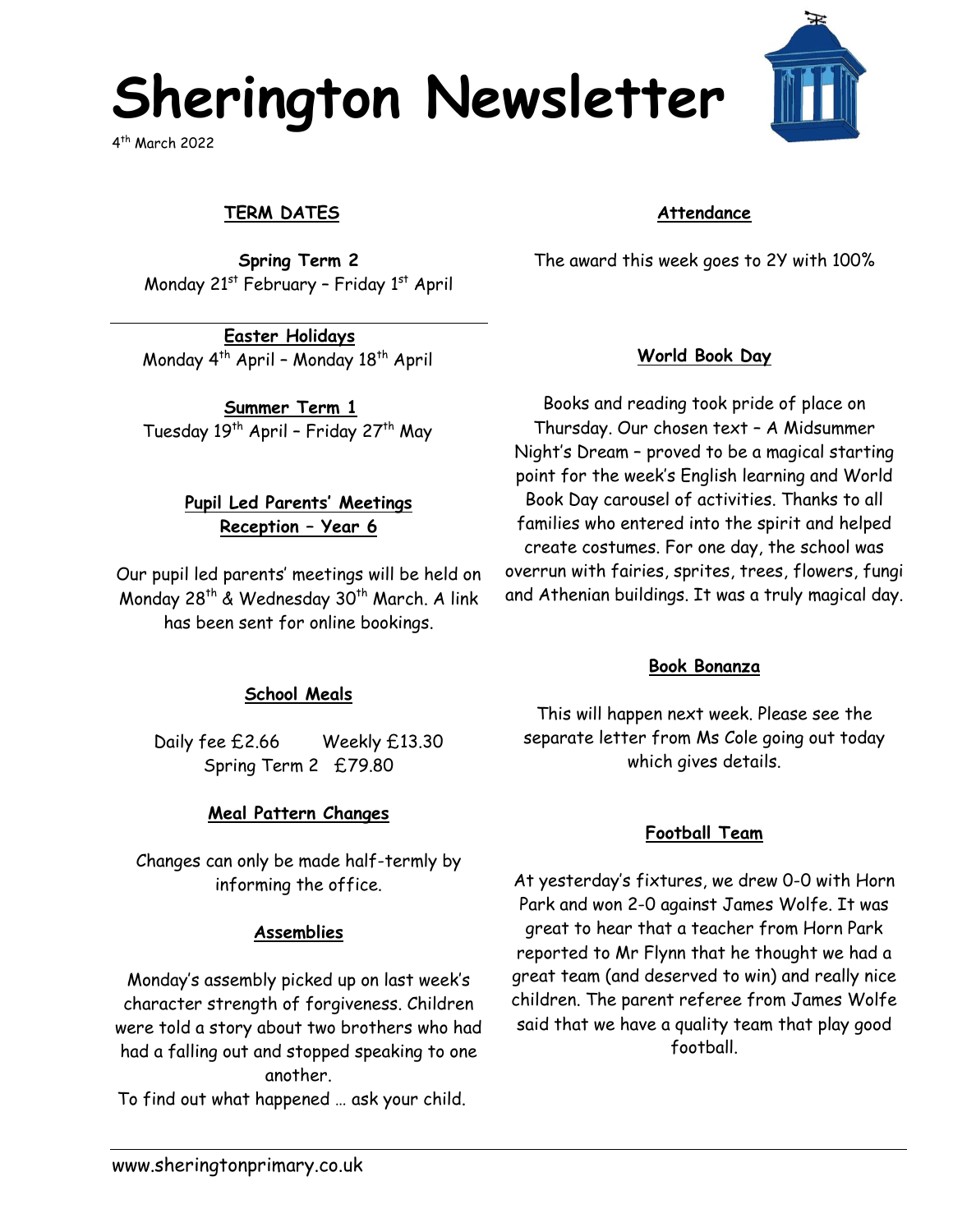# **Sherington Newsletter**

4 th March 2022

## **TERM DATES**

**Spring Term 2** Monday 21<sup>st</sup> February - Friday 1<sup>st</sup> April

**Easter Holidays** Monday 4th April – Monday 18th April

**Summer Term 1** Tuesday 19<sup>th</sup> April - Friday 27<sup>th</sup> May

#### **Pupil Led Parents' Meetings Reception – Year 6**

Our pupil led parents' meetings will be held on Monday 28<sup>th</sup> & Wednesday 30<sup>th</sup> March. A link has been sent for online bookings.

#### **School Meals**

Daily fee £2.66 Weekly £13.30 Spring Term 2 £79.80

#### **Meal Pattern Changes**

Changes can only be made half-termly by informing the office.

#### **Assemblies**

Monday's assembly picked up on last week's character strength of forgiveness. Children were told a story about two brothers who had had a falling out and stopped speaking to one another.

To find out what happened … ask your child.

#### **Attendance**

The award this week goes to 2Y with 100%

## **World Book Day**

Books and reading took pride of place on Thursday. Our chosen text – A Midsummer Night's Dream – proved to be a magical starting point for the week's English learning and World Book Day carousel of activities. Thanks to all families who entered into the spirit and helped create costumes. For one day, the school was overrun with fairies, sprites, trees, flowers, fungi and Athenian buildings. It was a truly magical day.

#### **Book Bonanza**

This will happen next week. Please see the separate letter from Ms Cole going out today which gives details.

#### **Football Team**

At yesterday's fixtures, we drew 0-0 with Horn Park and won 2-0 against James Wolfe. It was great to hear that a teacher from Horn Park reported to Mr Flynn that he thought we had a great team (and deserved to win) and really nice children. The parent referee from James Wolfe said that we have a quality team that play good football.